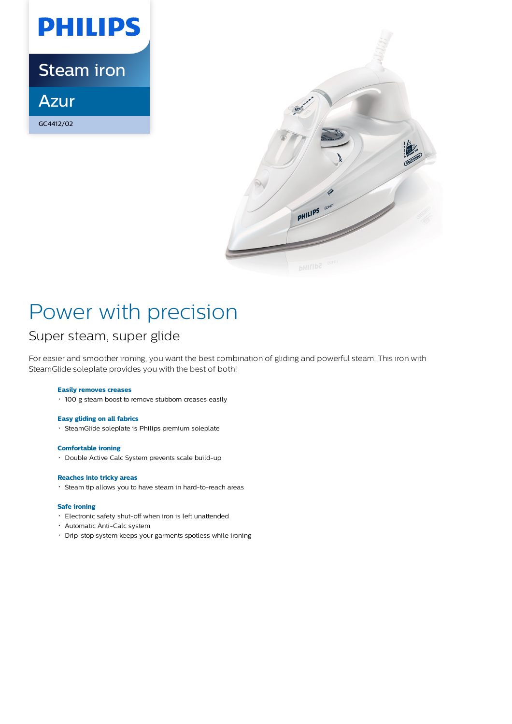

Steam iron

Azur

GC4412/02



# Power with precision

## Super steam, super glide

For easier and smoother ironing, you want the best combination of gliding and powerful steam. This iron with SteamGlide soleplate provides you with the best of both!

### **Easily removes creases**

100 g steam boost to remove stubborn creases easily

### **Easy gliding on all fabrics**

SteamGlide soleplate is Philips premium soleplate

### **Comfortable ironing**

• Double Active Calc System prevents scale build-up

### **Reaches into tricky areas**

Steam tip allows you to have steam in hard-to-reach areas

### **Safe ironing**

- Electronic safety shut-off when iron is left unattended
- Automatic Anti-Calc system
- Drip-stop system keeps your garments spotless while ironing